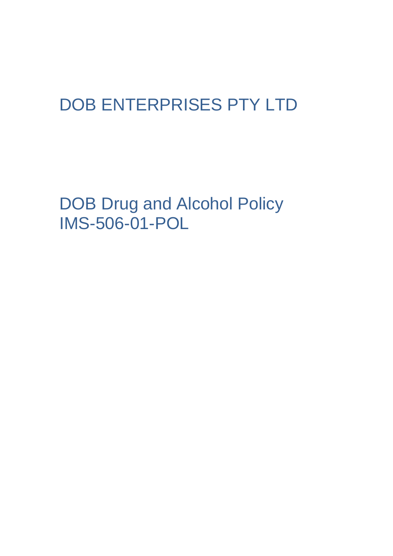# DOB ENTERPRISES PTY LTD

DOB Drug and Alcohol Policy IMS-506-01-POL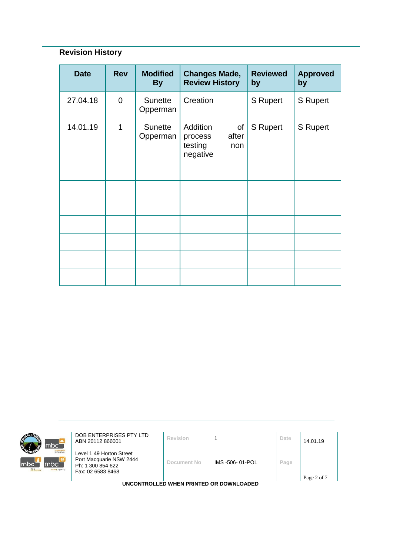# **Revision History**

| <b>Date</b> | <b>Rev</b>  | <b>Modified</b><br><b>By</b> | <b>Changes Made,</b><br><b>Review History</b>                    | <b>Reviewed</b><br>by | <b>Approved</b><br>by |
|-------------|-------------|------------------------------|------------------------------------------------------------------|-----------------------|-----------------------|
| 27.04.18    | $\mathbf 0$ | <b>Sunette</b><br>Opperman   | Creation                                                         | S Rupert              | <b>S</b> Rupert       |
| 14.01.19    | 1           | <b>Sunette</b><br>Opperman   | Addition<br>οf<br>after<br>process<br>testing<br>non<br>negative | <b>S</b> Rupert       | <b>S</b> Rupert       |
|             |             |                              |                                                                  |                       |                       |
|             |             |                              |                                                                  |                       |                       |
|             |             |                              |                                                                  |                       |                       |
|             |             |                              |                                                                  |                       |                       |
|             |             |                              |                                                                  |                       |                       |
|             |             |                              |                                                                  |                       |                       |
|             |             |                              |                                                                  |                       |                       |



**DOB ENTERPRISES PTY LTD**<br>ABN 20112 866001 **Revision** 1 **Date** 14.01.19

Level 1 49 Horton Street Port Macquarie NSW 2444 Ph: 1 300 854 622 Fax: 02 6583 8468

**Document No** IMS -506- 01-POL **Page**

Page 2 of 7

**UNCONTROLLED WHEN PRINTED OR DOWNLOADED**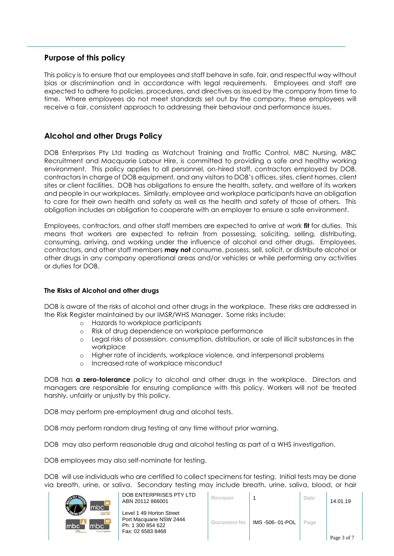# **Purpose of this policy**

This policy is to ensure that our employees and staff behave in safe, fair, and respectful way without bias or discrimination and in accordance with legal requirements. Employees and staff are expected to adhere to policies, procedures, and directives as issued by the company from time to time. Where employees do not meet standards set out by the company, these employees will receive a fair, consistent approach to addressing their behaviour and performance issues.

# **Alcohol and other Drugs Policy**

DOB Enterprises Pty Ltd trading as Watchout Training and Traffic Control, MBC Nursing, MBC Recruitment and Macquarie Labour Hire, is committed to providing a safe and healthy working environment. This policy applies to all personnel, on-hired staff, contractors employed by DOB, contractors in charge of DOB equipment, and any visitors to DOB's offices, sites, client homes, client sites or client facilities. DOB has obligations to ensure the health, safety, and welfare of its workers and people in our workplaces. Similarly, employee and workplace participants have an obligation to care for their own health and safety as well as the health and safety of those of others. This obligation includes an obligation to cooperate with an employer to ensure a safe environment.

Employees, contractors, and other staff members are expected to arrive at work **fit** for duties. This means that workers are expected to refrain from possessing, soliciting, selling, distributing, consuming, arriving, and working under the influence of alcohol and other drugs. Employees, contractors, and other staff members **may not** consume, possess, sell, solicit, or distribute alcohol or other drugs in any company operational areas and/or vehicles or while performing any activities or duties for DOB.

# **The Risks of Alcohol and other drugs**

DOB is aware of the risks of alcohol and other drugs in the workplace. These risks are addressed in the Risk Register maintained by our IMSR/WHS Manager. Some risks include:

- o Hazards to workplace participants
- o Risk of drug dependence on workplace performance
- o Legal risks of possession, consumption, distribution, or sale of illicit substances in the workplace
- o Higher rate of incidents, workplace violence, and interpersonal problems
- o Increased rate of workplace misconduct

DOB has **a zero-tolerance** policy to alcohol and other drugs in the workplace. Directors and managers are responsible for ensuring compliance with this policy. Workers will not be treated harshly, unfairly or unjustly by this policy.

DOB may perform pre-employment drug and alcohol tests.

DOB may perform random drug testing at any time without prior warning.

DOB may also perform reasonable drug and alcohol testing as part of a WHS investigation.

DOB employees may also self-nominate for testing.

DOB will use individuals who are certified to collect specimens for testing. Initial tests may be done via breath, urine, or saliva. Secondary testing may include breath, urine, saliva, blood, or hair



|                                    | DOB ENTERPRISES PTY LTD<br>ABN 20112 866001                                                   | Revision    |                 | Date | 14.01.19    |
|------------------------------------|-----------------------------------------------------------------------------------------------|-------------|-----------------|------|-------------|
| our hire<br>$\mathbf{e}$<br>agency | Level 1 49 Horton Street<br>Port Macquarie NSW 2444<br>Ph: 1 300 854 622<br>Fax: 02 6583 8468 | Document No | IMS -506-01-POL | Page |             |
|                                    |                                                                                               |             |                 |      | Page 3 of 7 |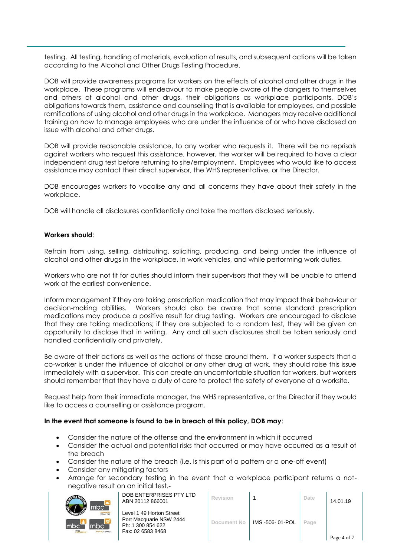testing. All testing, handling of materials, evaluation of results, and subsequent actions will be taken according to the Alcohol and Other Drugs Testing Procedure.

DOB will provide awareness programs for workers on the effects of alcohol and other drugs in the workplace. These programs will endeavour to make people aware of the dangers to themselves and others of alcohol and other drugs, their obligations as workplace participants, DOB's obligations towards them, assistance and counselling that is available for employees, and possible ramifications of using alcohol and other drugs in the workplace. Managers may receive additional training on how to manage employees who are under the influence of or who have disclosed an issue with alcohol and other drugs.

DOB will provide reasonable assistance, to any worker who requests it. There will be no reprisals against workers who request this assistance, however, the worker will be required to have a clear independent drug test before returning to site/employment. Employees who would like to access assistance may contact their direct supervisor, the WHS representative, or the Director.

DOB encourages workers to vocalise any and all concerns they have about their safety in the workplace.

DOB will handle all disclosures confidentially and take the matters disclosed seriously.

#### **Workers should**:

Refrain from using, selling, distributing, soliciting, producing, and being under the influence of alcohol and other drugs in the workplace, in work vehicles, and while performing work duties.

Workers who are not fit for duties should inform their supervisors that they will be unable to attend work at the earliest convenience.

Inform management if they are taking prescription medication that may impact their behaviour or decision-making abilities. Workers should also be aware that some standard prescription medications may produce a positive result for drug testing. Workers are encouraged to disclose that they are taking medications; if they are subjected to a random test, they will be given an opportunity to disclose that in writing. Any and all such disclosures shall be taken seriously and handled confidentially and privately.

Be aware of their actions as well as the actions of those around them. If a worker suspects that a co-worker is under the influence of alcohol or any other drug at work, they should raise this issue immediately with a supervisor. This can create an uncomfortable situation for workers, but workers should remember that they have a duty of care to protect the safety of everyone at a worksite.

Request help from their immediate manager, the WHS representative, or the Director if they would like to access a counselling or assistance program.

#### **In the event that someone is found to be in breach of this policy, DOB may**:

- Consider the nature of the offense and the environment in which it occurred
- Consider the actual and potential risks that occurred or may have occurred as a result of the breach
- Consider the nature of the breach (i.e. Is this part of a pattern or a one-off event)
- Consider any mitigating factors
- Arrange for secondary testing in the event that a workplace participant returns a notnegative result on an initial test.-



| DOB ENTERPRISES PTY LTD |
|-------------------------|
| ABN 20112 866001        |

| DOB ENTERPRISES PTY LTD<br>ABN 20112 866001                                                   | Revision    |                 | Date | 14.01.19    |
|-----------------------------------------------------------------------------------------------|-------------|-----------------|------|-------------|
| Level 1 49 Horton Street<br>Port Macquarie NSW 2444<br>Ph: 1 300 854 622<br>Fax: 02 6583 8468 | Document No | IMS -506-01-POL | Page | Page 4 of 7 |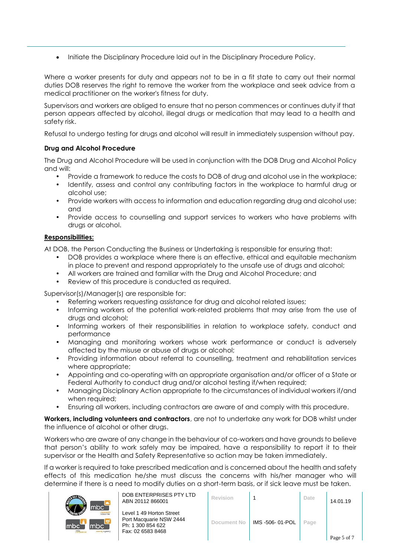• Initiate the Disciplinary Procedure laid out in the Disciplinary Procedure Policy.

Where a worker presents for duty and appears not to be in a fit state to carry out their normal duties DOB reserves the right to remove the worker from the workplace and seek advice from a medical practitioner on the worker's fitness for duty.

Supervisors and workers are obliged to ensure that no person commences or continues duty if that person appears affected by alcohol, illegal drugs or medication that may lead to a health and safety risk.

Refusal to undergo testing for drugs and alcohol will result in immediately suspension without pay.

# **Drug and Alcohol Procedure**

The Drug and Alcohol Procedure will be used in conjunction with the DOB Drug and Alcohol Policy and will:

- Provide a framework to reduce the costs to DOB of drug and alcohol use in the workplace;
- Identify, assess and control any contributing factors in the workplace to harmful drug or alcohol use;
- Provide workers with access to information and education regarding drug and alcohol use; and
- Provide access to counselling and support services to workers who have problems with drugs or alcohol.

## **Responsibilities:**

At DOB, the Person Conducting the Business or Undertaking is responsible for ensuring that:

- DOB provides a workplace where there is an effective, ethical and equitable mechanism in place to prevent and respond appropriately to the unsafe use of drugs and alcohol;
- All workers are trained and familiar with the Drug and Alcohol Procedure; and
- Review of this procedure is conducted as required.

Supervisor(s)/Manager(s) are responsible for:

- Referring workers requesting assistance for drug and alcohol related issues;
- Informing workers of the potential work-related problems that may arise from the use of drugs and alcohol;
- Informing workers of their responsibilities in relation to workplace safety, conduct and performance
- Managing and monitoring workers whose work performance or conduct is adversely affected by the misuse or abuse of drugs or alcohol;
- Providing information about referral to counselling, treatment and rehabilitation services where appropriate;
- Appointing and co-operating with an appropriate organisation and/or officer of a State or Federal Authority to conduct drug and/or alcohol testing if/when required;
- Managing Disciplinary Action appropriate to the circumstances of individual workers if/and when required;
- Ensuring all workers, including contractors are aware of and comply with this procedure.

**Workers, including volunteers and contractors**, are not to undertake any work for DOB whilst under the influence of alcohol or other drugs.

Workers who are aware of any change in the behaviour of co-workers and have grounds to believe that person's ability to work safely may be impaired, have a responsibility to report it to their supervisor or the Health and Safety Representative so action may be taken immediately.

If a worker is required to take prescribed medication and is concerned about the health and safety effects of this medication he/she must discuss the concerns with his/her manager who will determine if there is a need to modify duties on a short-term basis, or if sick leave must be taken.



| DOB ENTERPRISES PTY LTD |
|-------------------------|
| ABN 20112 866001        |

| DOB ENTERPRISES PTY LTD<br>ABN 20112 866001                                                   | <b>Revision</b> |                 | Date | 14.01.19    |
|-----------------------------------------------------------------------------------------------|-----------------|-----------------|------|-------------|
| Level 1 49 Horton Street<br>Port Macquarie NSW 2444<br>Ph: 1 300 854 622<br>Fax: 02 6583 8468 | Document No     | IMS -506-01-POL | Page | Page 5 of 7 |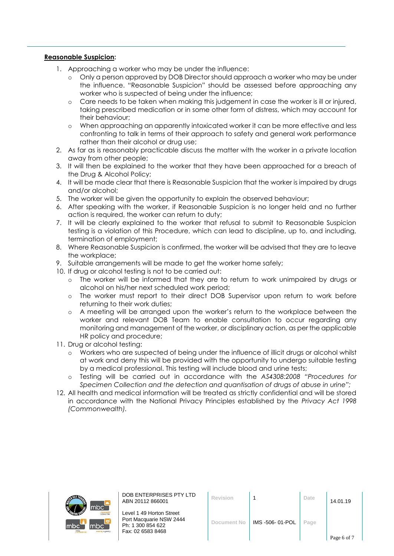# **Reasonable Suspicion:**

- 1. Approaching a worker who may be under the influence:
	- o Only a person approved by DOB Director should approach a worker who may be under the influence. "Reasonable Suspicion" should be assessed before approaching any worker who is suspected of being under the influence;
	- o Care needs to be taken when making this judgement in case the worker is ill or injured, taking prescribed medication or in some other form of distress, which may account for their behaviour;
	- o When approaching an apparently intoxicated worker it can be more effective and less confronting to talk in terms of their approach to safety and general work performance rather than their alcohol or drug use;
- 2. As far as is reasonably practicable discuss the matter with the worker in a private location away from other people;
- 3. It will then be explained to the worker that they have been approached for a breach of the Drug & Alcohol Policy;
- 4. It will be made clear that there is Reasonable Suspicion that the worker is impaired by drugs and/or alcohol;
- 5. The worker will be given the opportunity to explain the observed behaviour;
- 6. After speaking with the worker, if Reasonable Suspicion is no longer held and no further action is required, the worker can return to duty;
- 7. It will be clearly explained to the worker that refusal to submit to Reasonable Suspicion testing is a violation of this Procedure, which can lead to discipline, up to, and including, termination of employment;
- 8. Where Reasonable Suspicion is confirmed, the worker will be advised that they are to leave the workplace;
- 9. Suitable arrangements will be made to get the worker home safely;
- 10. If drug or alcohol testing is not to be carried out:
	- o The worker will be informed that they are to return to work unimpaired by drugs or alcohol on his/her next scheduled work period;
	- o The worker must report to their direct DOB Supervisor upon return to work before returning to their work duties;
	- o A meeting will be arranged upon the worker's return to the workplace between the worker and relevant DOB Team to enable consultation to occur regarding any monitoring and management of the worker, or disciplinary action, as per the applicable HR policy and procedure;
- 11. Drug or alcohol testing:
	- o Workers who are suspected of being under the influence of illicit drugs or alcohol whilst at work and deny this will be provided with the opportunity to undergo suitable testing by a medical professional. This testing will include blood and urine tests;
	- o Testing will be carried out in accordance with the *AS4308:2008 "Procedures for Specimen Collection and the detection and quantisation of drugs of abuse in urine";*
- 12. All health and medical information will be treated as strictly confidential and will be stored in accordance with the National Privacy Principles established by the *Privacy Act 1998 (Commonwealth).*



DOB ENTERPRISES PTY LTD ABN 20112 866001 **Revision** <sup>1</sup> **Date** 14.01.19

| <b>Revision</b>    |                | Date | 14.01.19    |
|--------------------|----------------|------|-------------|
| <b>Document No</b> | IMS-506-01-POL | Page | Page 6 of 7 |